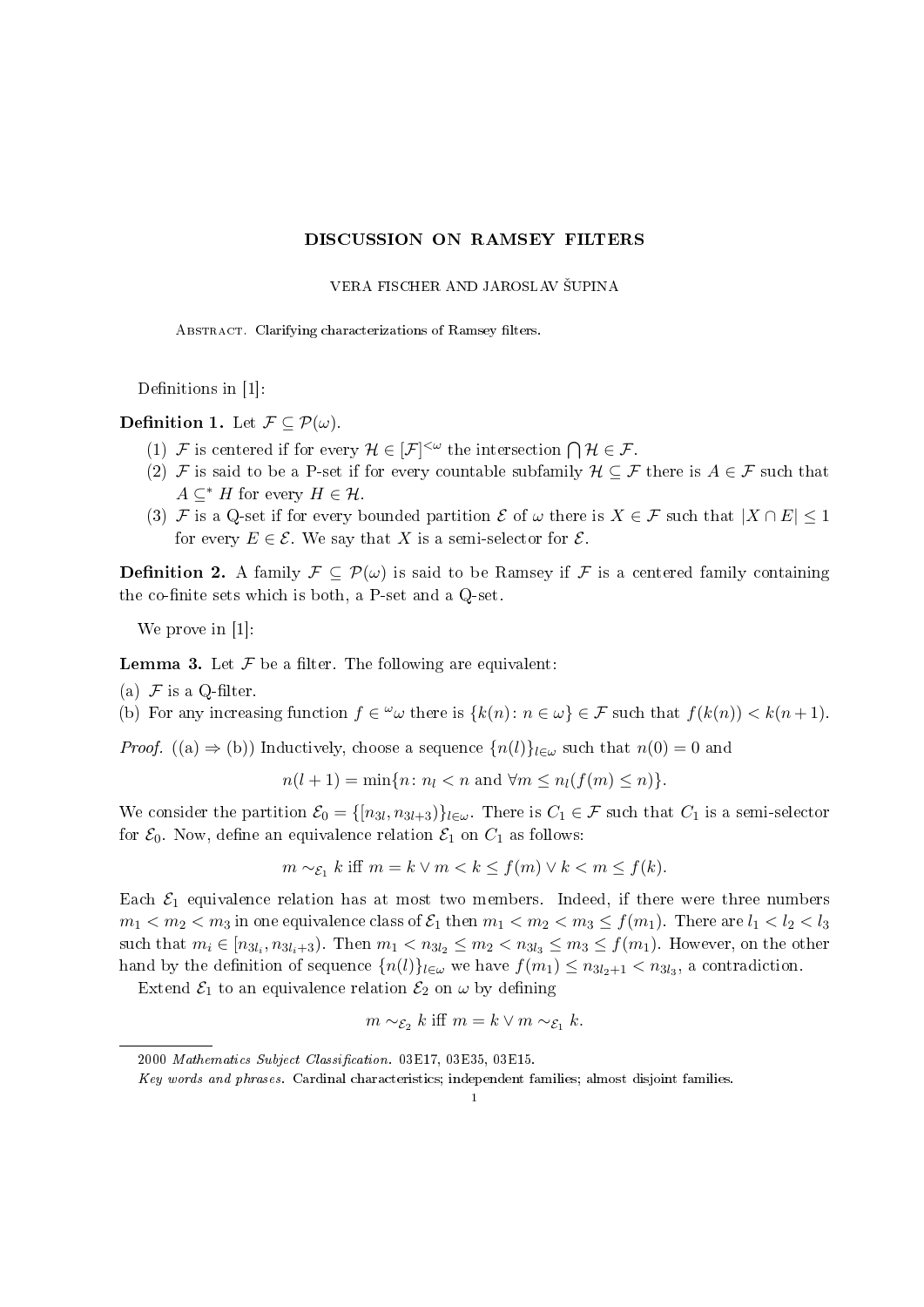## DISCUSSION ON RAMSEY FILTERS

## VERA FISCHER AND JAROSLAV ŠUPINA

ABSTRACT. Clarifying characterizations of Ramsey filters.

Definitions in  $[1]$ :

Definition 1. Let  $\mathcal{F} \subseteq \mathcal{P}(\omega)$ .

- (1) F is centered if for every  $\mathcal{H} \in [\mathcal{F}]^{<\omega}$  the intersection  $\bigcap \mathcal{H} \in \mathcal{F}$ .
- (2) F is said to be a P-set if for every countable subfamily  $\mathcal{H} \subseteq \mathcal{F}$  there is  $A \in \mathcal{F}$  such that  $A \subseteq^* H$  for every  $H \in \mathcal{H}$ .
- (3) F is a Q-set if for every bounded partition  $\mathcal E$  of  $\omega$  there is  $X \in \mathcal F$  such that  $|X \cap E| \leq 1$ for every  $E \in \mathcal{E}$ . We say that X is a semi-selector for  $\mathcal{E}$ .

**Definition 2.** A family  $\mathcal{F} \subseteq \mathcal{P}(\omega)$  is said to be Ramsey if F is a centered family containing the co-finite sets which is both, a P-set and a Q-set.

We prove in [1]:

**Lemma 3.** Let  $\mathcal F$  be a filter. The following are equivalent:

(a)  $\mathcal F$  is a Q-filter.

(b) For any increasing function  $f \in \omega$  there is  $\{k(n): n \in \omega\} \in \mathcal{F}$  such that  $f(k(n)) < k(n+1)$ .

*Proof.* ((a)  $\Rightarrow$  (b)) Inductively, choose a sequence  $\{n(l)\}_{l\in\omega}$  such that  $n(0) = 0$  and

$$
n(l+1) = \min\{n \colon n_l < n \text{ and } \forall m \le n_l(f(m) \le n)\}.
$$

We consider the partition  $\mathcal{E}_0 = \{ [n_{3l}, n_{3l+3}]\}_{l \in \omega}$ . There is  $C_1 \in \mathcal{F}$  such that  $C_1$  is a semi-selector for  $\mathcal{E}_0$ . Now, define an equivalence relation  $\mathcal{E}_1$  on  $C_1$  as follows:

$$
m \sim_{\mathcal{E}_1} k \text{ iff } m = k \lor m < k \le f(m) \lor k < m \le f(k).
$$

Each  $\mathcal{E}_1$  equivalence relation has at most two members. Indeed, if there were three numbers  $m_1 < m_2 < m_3$  in one equivalence class of  $\mathcal{E}_1$  then  $m_1 < m_2 < m_3 \le f(m_1)$ . There are  $l_1 < l_2 < l_3$ such that  $m_i \in [n_{3l_i}, n_{3l_i+3})$ . Then  $m_1 < n_{3l_2} \le m_2 < n_{3l_3} \le m_3 \le f(m_1)$ . However, on the other hand by the definition of sequence  $\{n(l)\}_{l\in\omega}$  we have  $f(m_1) \leq n_{3l_2+1} < n_{3l_3}$ , a contradiction.

Extend  $\mathcal{E}_1$  to an equivalence relation  $\mathcal{E}_2$  on  $\omega$  by defining

$$
m \sim_{\mathcal{E}_2} k \text{ iff } m = k \vee m \sim_{\mathcal{E}_1} k.
$$

<sup>2000</sup> Mathematics Subject Classification. 03E17, 03E35, 03E15.

Key words and phrases. Cardinal characteristics; independent families; almost disjoint families.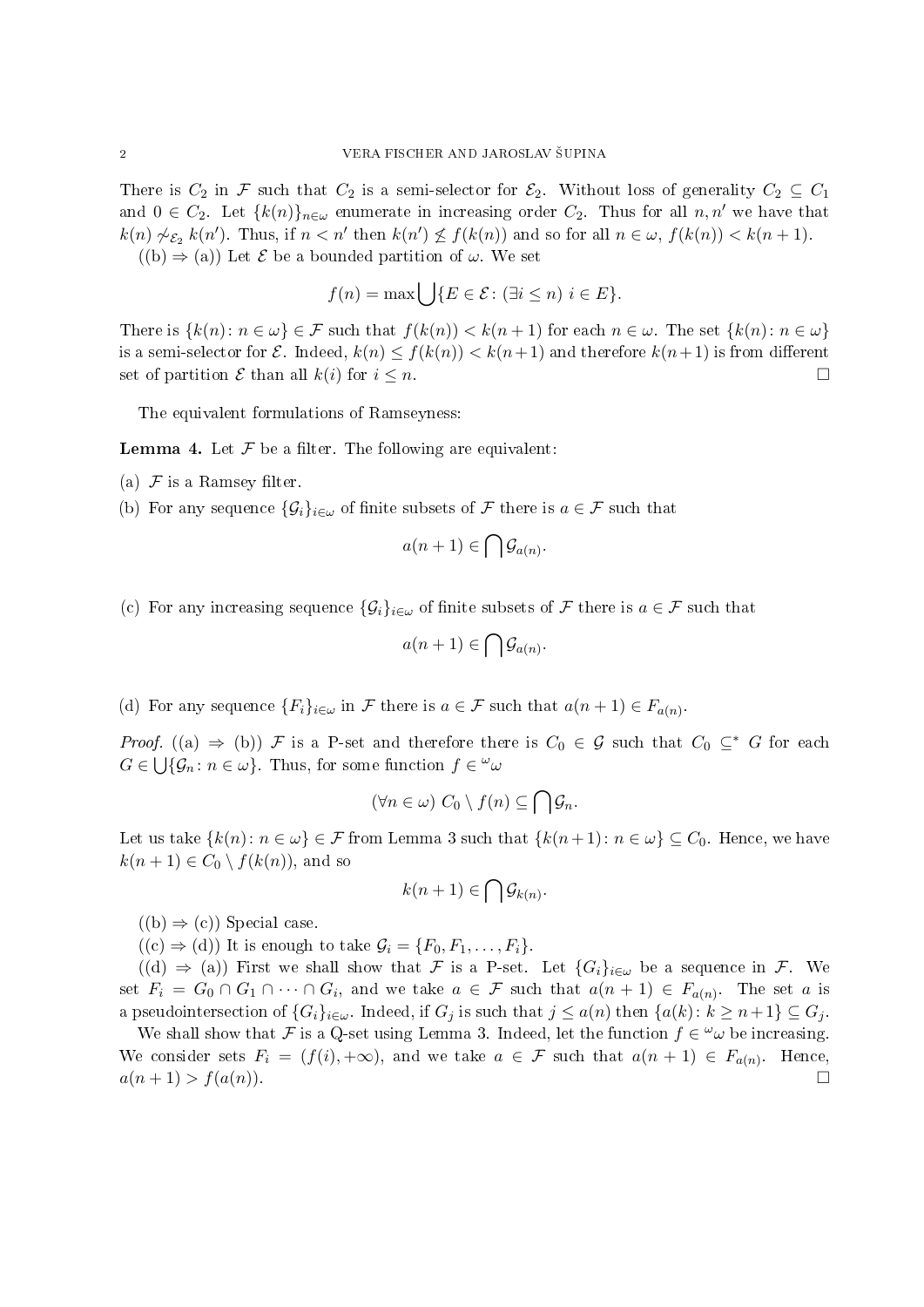There is  $C_2$  in F such that  $C_2$  is a semi-selector for  $\mathcal{E}_2$ . Without loss of generality  $C_2 \subseteq C_1$ and  $0 \in C_2$ . Let  $\{k(n)\}_{n\in\omega}$  enumerate in increasing order  $C_2$ . Thus for all  $n, n'$  we have that  $k(n) \not\sim_{\mathcal{E}_2} k(n')$ . Thus, if  $n < n'$  then  $k(n') \not\leq f(k(n))$  and so for all  $n \in \omega$ ,  $f(k(n)) < k(n+1)$ .  $((b) \Rightarrow (a))$  Let E be a bounded partition of  $\omega$ . We set

$$
f(n) = \max \left\{ \left| \{ E \in \mathcal{E} : (\exists i \le n) \ i \in E \} \right. \right\}
$$

There is  $\{k(n): n \in \omega\} \in \mathcal{F}$  such that  $f(k(n)) < k(n+1)$  for each  $n \in \omega$ . The set  $\{k(n): n \in \omega\}$ is a semi-selector for  $\mathcal E$ . Indeed,  $k(n) \leq f(k(n)) < k(n+1)$  and therefore  $k(n+1)$  is from different set of partition  $\mathcal E$  than all  $k(i)$  for  $i \leq n$ .

The equivalent formulations of Ramseyness:

**Lemma 4.** Let  $\mathcal F$  be a filter. The following are equivalent:

- (a)  $\mathcal F$  is a Ramsey filter.
- (b) For any sequence  $\{\mathcal{G}_i\}_{i\in\omega}$  of finite subsets of F there is  $a\in\mathcal{F}$  such that

$$
a(n+1) \in \bigcap \mathcal{G}_{a(n)}.
$$

(c) For any increasing sequence  $\{\mathcal{G}_i\}_{i\in\omega}$  of finite subsets of F there is  $a \in \mathcal{F}$  such that

$$
a(n+1) \in \bigcap \mathcal{G}_{a(n)}.
$$

(d) For any sequence  $\{F_i\}_{i\in\omega}$  in F there is  $a\in\mathcal{F}$  such that  $a(n+1)\in F_{a(n)}$ .

*Proof.* ((a)  $\Rightarrow$  (b)) F is a P-set and therefore there is  $C_0 \in \mathcal{G}$  such that  $C_0 \subseteq^* G$  for each  $G \in \bigcup \{ \mathcal{G}_n : n \in \omega \}.$  Thus, for some function  $f \in \omega$ 

$$
(\forall n \in \omega) \ C_0 \setminus f(n) \subseteq \bigcap \mathcal{G}_n.
$$

Let us take  $\{k(n): n \in \omega\} \in \mathcal{F}$  from Lemma 3 such that  $\{k(n+1): n \in \omega\} \subseteq C_0$ . Hence, we have  $k(n + 1) \in C_0 \setminus f(k(n))$ , and so

$$
k(n+1) \in \bigcap \mathcal{G}_{k(n)}.
$$

 $((b) \Rightarrow (c))$  Special case.

 $((c) \Rightarrow (d))$  It is enough to take  $\mathcal{G}_i = \{F_0, F_1, \ldots, F_i\}.$ 

 $((d) \Rightarrow (a))$  First we shall show that F is a P-set. Let  $\{G_i\}_{i\in\omega}$  be a sequence in F. We set  $F_i = G_0 \cap G_1 \cap \cdots \cap G_i$ , and we take  $a \in \mathcal{F}$  such that  $a(n+1) \in F_{a(n)}$ . The set a is a pseudointersection of  $\{G_i\}_{i\in\omega}$ . Indeed, if  $G_i$  is such that  $j \leq a(n)$  then  $\{a(k): k \geq n+1\} \subseteq G_j$ .

We shall show that F is a Q-set using Lemma 3. Indeed, let the function  $f \in \omega$  be increasing. We consider sets  $F_i = (f(i), +\infty)$ , and we take  $a \in \mathcal{F}$  such that  $a(n + 1) \in F_{a(n)}$ . Hence,  $a(n + 1) > f(a(n)).$